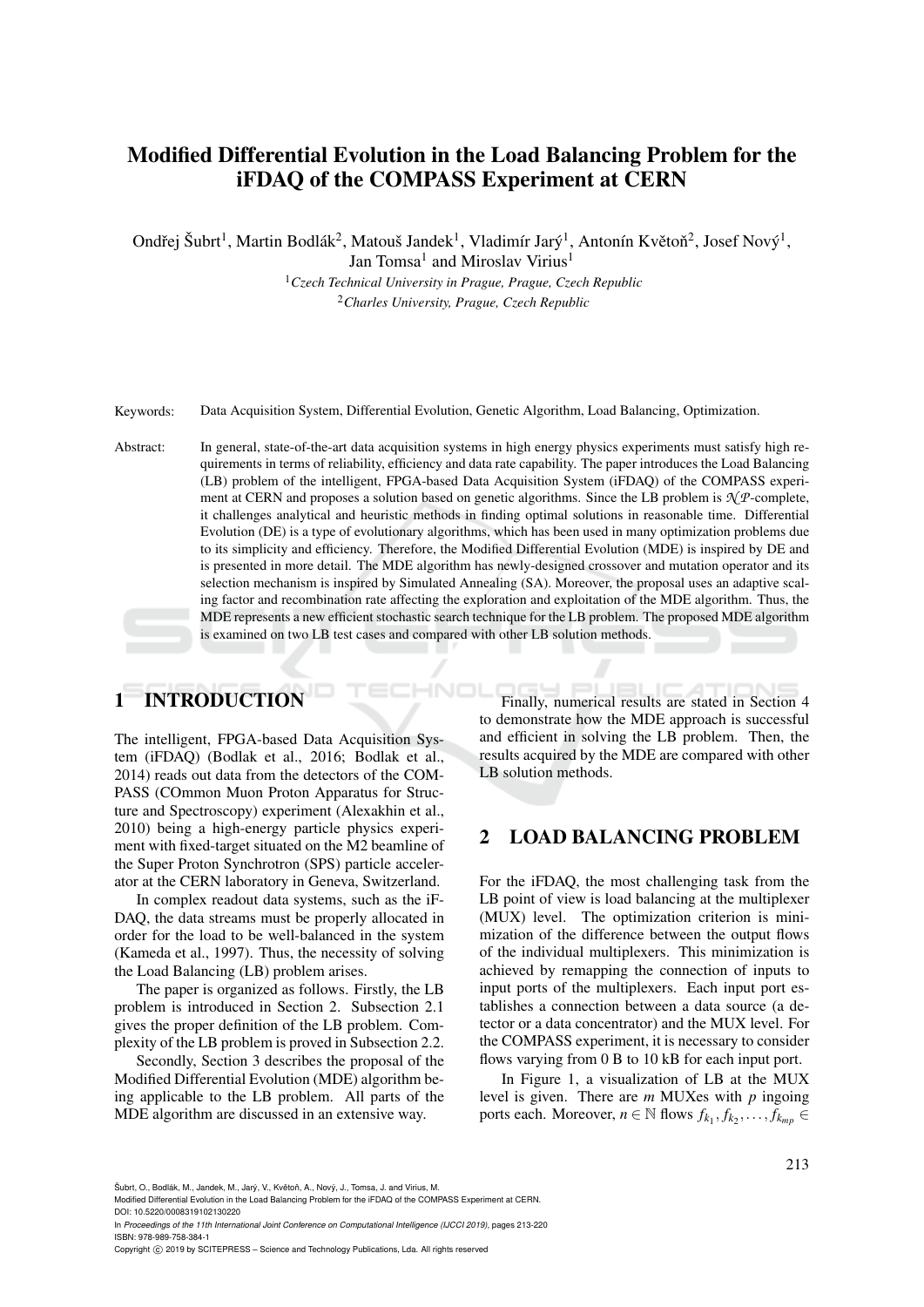# Modified Differential Evolution in the Load Balancing Problem for the iFDAQ of the COMPASS Experiment at CERN

Ondřej Šubrt<sup>1</sup>, Martin Bodlák<sup>2</sup>, Matouš Jandek<sup>1</sup>, Vladimír Jarý<sup>1</sup>, Antonín Květoň<sup>2</sup>, Josef Nový<sup>1</sup>,

Jan Tomsa<sup>1</sup> and Miroslav Virius<sup>1</sup>

<sup>1</sup>*Czech Technical University in Prague, Prague, Czech Republic* <sup>2</sup>*Charles University, Prague, Czech Republic*

Keywords: Data Acquisition System, Differential Evolution, Genetic Algorithm, Load Balancing, Optimization.

Abstract: In general, state-of-the-art data acquisition systems in high energy physics experiments must satisfy high requirements in terms of reliability, efficiency and data rate capability. The paper introduces the Load Balancing (LB) problem of the intelligent, FPGA-based Data Acquisition System (iFDAQ) of the COMPASS experiment at CERN and proposes a solution based on genetic algorithms. Since the LB problem is *N P*-complete, it challenges analytical and heuristic methods in finding optimal solutions in reasonable time. Differential Evolution (DE) is a type of evolutionary algorithms, which has been used in many optimization problems due to its simplicity and efficiency. Therefore, the Modified Differential Evolution (MDE) is inspired by DE and is presented in more detail. The MDE algorithm has newly-designed crossover and mutation operator and its selection mechanism is inspired by Simulated Annealing (SA). Moreover, the proposal uses an adaptive scaling factor and recombination rate affecting the exploration and exploitation of the MDE algorithm. Thus, the MDE represents a new efficient stochastic search technique for the LB problem. The proposed MDE algorithm is examined on two LB test cases and compared with other LB solution methods.

# 1 INTRODUCTION

The intelligent, FPGA-based Data Acquisition System (iFDAQ) (Bodlak et al., 2016; Bodlak et al., 2014) reads out data from the detectors of the COM-PASS (COmmon Muon Proton Apparatus for Structure and Spectroscopy) experiment (Alexakhin et al., 2010) being a high-energy particle physics experiment with fixed-target situated on the M2 beamline of the Super Proton Synchrotron (SPS) particle accelerator at the CERN laboratory in Geneva, Switzerland.

In complex readout data systems, such as the iF-DAQ, the data streams must be properly allocated in order for the load to be well-balanced in the system (Kameda et al., 1997). Thus, the necessity of solving the Load Balancing (LB) problem arises.

The paper is organized as follows. Firstly, the LB problem is introduced in Section 2. Subsection 2.1 gives the proper definition of the LB problem. Complexity of the LB problem is proved in Subsection 2.2.

Secondly, Section 3 describes the proposal of the Modified Differential Evolution (MDE) algorithm being applicable to the LB problem. All parts of the MDE algorithm are discussed in an extensive way.

Finally, numerical results are stated in Section 4 to demonstrate how the MDE approach is successful and efficient in solving the LB problem. Then, the results acquired by the MDE are compared with other LB solution methods.

### 2 LOAD BALANCING PROBLEM

For the iFDAQ, the most challenging task from the LB point of view is load balancing at the multiplexer (MUX) level. The optimization criterion is minimization of the difference between the output flows of the individual multiplexers. This minimization is achieved by remapping the connection of inputs to input ports of the multiplexers. Each input port establishes a connection between a data source (a detector or a data concentrator) and the MUX level. For the COMPASS experiment, it is necessary to consider flows varying from 0 B to 10 kB for each input port.

In Figure 1, a visualization of LB at the MUX level is given. There are *m* MUXes with *p* ingoing ports each. Moreover,  $n \in \mathbb{N}$  flows  $f_{k_1}, f_{k_2}, \ldots, f_{k_{mp}} \in$ 

Šubrt, O., Bodlák, M., Jandek, M., Jarý, V., Květoň, A., Nový, J., Tomsa, J. and Virius, M.

In *Proceedings of the 11th International Joint Conference on Computational Intelligence (IJCCI 2019)*, pages 213-220 ISBN: 978-989-758-384-1

Modified Differential Evolution in the Load Balancing Problem for the iFDAQ of the COMPASS Experiment at CERN. DOI: 10.5220/0008319102130220

Copyright © 2019 by SCITEPRESS - Science and Technology Publications, Lda. All rights reserved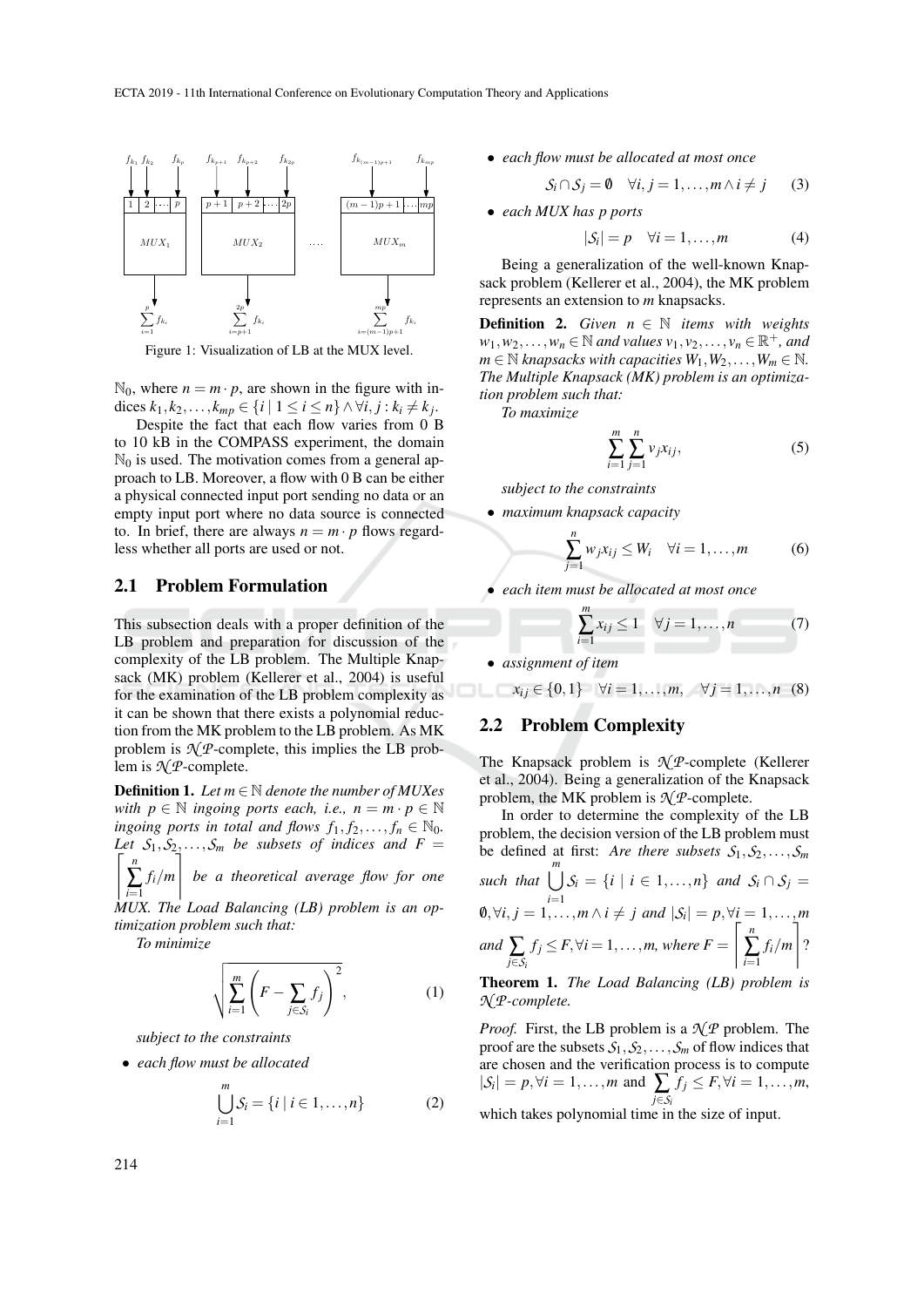

Figure 1: Visualization of LB at the MUX level.

 $\mathbb{N}_0$ , where  $n = m \cdot p$ , are shown in the figure with indices *k*<sub>1</sub>, *k*<sub>2</sub>,..., *k<sub>mp</sub>* ∈ {*i* | 1 ≤ *i* ≤ *n*} ∧ ∀*i*, *j* : *k<sub>i</sub>* ≠ *k*<sub>*j*</sub>.

Despite the fact that each flow varies from 0 B to 10 kB in the COMPASS experiment, the domain  $\mathbb{N}_0$  is used. The motivation comes from a general approach to LB. Moreover, a flow with 0 B can be either a physical connected input port sending no data or an empty input port where no data source is connected to. In brief, there are always  $n = m \cdot p$  flows regardless whether all ports are used or not.

#### 2.1 Problem Formulation

This subsection deals with a proper definition of the LB problem and preparation for discussion of the complexity of the LB problem. The Multiple Knapsack (MK) problem (Kellerer et al., 2004) is useful for the examination of the LB problem complexity as it can be shown that there exists a polynomial reduction from the MK problem to the LB problem. As MK problem is  $\mathcal{N}$ *P*-complete, this implies the LB problem is *N P*-complete.

Definition 1. *Let m* <sup>∈</sup> <sup>N</sup> *denote the number of MUXes with*  $p \in \mathbb{N}$  *ingoing ports each, i.e.,*  $n = m \cdot p \in \mathbb{N}$ *ingoing ports in total and flows*  $f_1, f_2, \ldots, f_n \in \mathbb{N}_0$ *.*  $\sqrt{2}$ Let  $S_1, S_2, \ldots, S_m$  be subsets of indices and  $F =$ *n*

∑ *i*=1 *fi*/*m* |<br>| *be a theoretical average flow for one*

*MUX. The Load Balancing (LB) problem is an optimization problem such that:*

*To minimize*

$$
\sqrt{\sum_{i=1}^{m} \left( F - \sum_{j \in S_i} f_j \right)^2}, \tag{1}
$$

*subject to the constraints*

• *each flow must be allocated*

$$
\bigcup_{i=1}^{m} S_i = \{i \mid i \in 1, ..., n\}
$$
 (2)

• *each flow must be allocated at most once*

$$
S_i \cap S_j = \emptyset \quad \forall i, j = 1, \dots, m \land i \neq j \tag{3}
$$

• *each MUX has p ports*

$$
|\mathcal{S}_i| = p \quad \forall i = 1, \dots, m \tag{4}
$$

Being a generalization of the well-known Knapsack problem (Kellerer et al., 2004), the MK problem represents an extension to *m* knapsacks.

**Definition 2.** *Given*  $n \in \mathbb{N}$  *items with weights*  $w_1, w_2, \ldots, w_n \in \mathbb{N}$  *and values*  $v_1, v_2, \ldots, v_n \in \mathbb{R}^+$ *, and*  $m \in \mathbb{N}$  *knapsacks with capacities*  $W_1, W_2, \ldots, W_m \in \mathbb{N}$ *. The Multiple Knapsack (MK) problem is an optimization problem such that:*

*To maximize*

$$
\sum_{i=1}^{m} \sum_{j=1}^{n} v_j x_{ij},
$$
 (5)

*subject to the constraints*

• *maximum knapsack capacity*

$$
\sum_{j=1}^{n} w_j x_{ij} \leq W_i \quad \forall i = 1, \dots, m \tag{6}
$$

• *each item must be allocated at most once*

$$
\sum_{i=1}^{m} x_{ij} \le 1 \quad \forall j = 1, \dots, n \tag{7}
$$

• *assignment of item*

$$
x_{ij} \in \{0,1\} \quad \forall i=1,\ldots,m, \quad \forall j=1,\ldots,n \quad (8)
$$

### 2.2 Problem Complexity

The Knapsack problem is *N P*-complete (Kellerer et al., 2004). Being a generalization of the Knapsack problem, the MK problem is  $\mathcal{N}$ *P*-complete.

In order to determine the complexity of the LB problem, the decision version of the LB problem must be defined at first: *Are there subsets*  $S_1, S_2, \ldots, S_m$ *such that*  $\bigcup_{i=1}^{m} S_i = \{i \mid i \in 1, ..., n\}$  *and*  $S_i \cap S_j =$ **0**,∀*i*, *j* = 1,...,*m* ∧ *i* ≠ *j* and  $|S_i| = p$ ,∀*i*<sub> $\vdots$ </sub> = 1,...,*m* and  $\sum_{j \in S_i}$  $f_j \leq F, \forall i = 1, \ldots, m$ , where  $F =$ & *n* ∑ *i*=1 *fi*/*m* ' ?

Theorem 1. *The Load Balancing (LB) problem is N P-complete.*

*Proof.* First, the LB problem is a *N P* problem. The proof are the subsets  $S_1$ ,  $S_2$ , ...,  $S_m$  of flow indices that are chosen and the verification process is to compute  $|\mathcal{S}_i| = p, \forall i = 1, \ldots, m \text{ and } \sum_{i \in \mathcal{S}} f_i \leq F, \forall i = 1, \ldots, m,$ *j*∈*S<sup>i</sup>* which takes polynomial time in the size of input.

214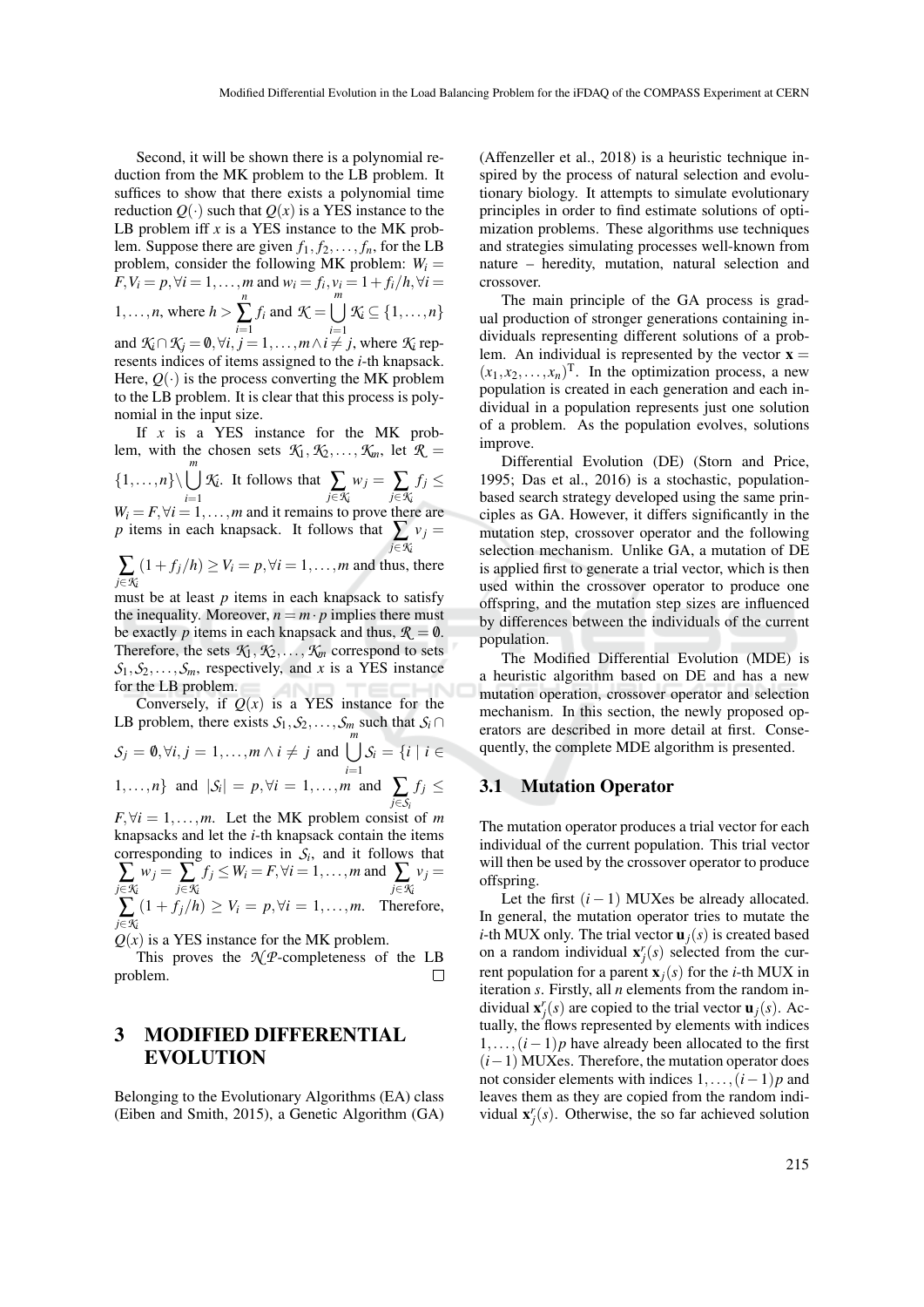Second, it will be shown there is a polynomial reduction from the MK problem to the LB problem. It suffices to show that there exists a polynomial time reduction  $Q(\cdot)$  such that  $Q(x)$  is a YES instance to the LB problem iff  $x$  is a YES instance to the MK problem. Suppose there are given  $f_1, f_2, \ldots, f_n$ , for the LB problem, consider the following MK problem:  $W_i =$ *F*, *V*<sub>*i*</sub> = *p*, ∀*i* = 1,..., *m* and  $w_i = f_i$ ,  $v_i = 1 + f_i/h$ , ∀*i* =  $1, \ldots, n$ , where  $h >$ *n* ∑ *i*=1 *f*<sub>*i*</sub> and  $K = \bigcup^{m}$  $\bigcup_{i=1}$  *K*<sub>*i*</sub>  $\subseteq$  {1,...,*n*} and  $K_i \cap K_j = \emptyset, \forall i, j = 1, \ldots, m \land i \neq j$ , where  $K_i$  rep-

resents indices of items assigned to the *i*-th knapsack. Here,  $Q(\cdot)$  is the process converting the MK problem to the LB problem. It is clear that this process is polynomial in the input size.

If *x* is a YES instance for the MK problem, with the chosen sets  $K_1, K_2, \ldots, K_m$ , let  $R =$  $\{1,\ldots,n\}\setminus \bigcup_{i=1}^m$ *K*<sub>*i*</sub>. It follows that  $\sum_{j \in \mathcal{K}_i} w_j = \sum_{j \in \mathcal{K}_i}$  $f_j \leq$  $W_i = F, \forall i = 1, \ldots, m$  and it remains to prove there are *p* items in each knapsack. It follows that  $\sum_{i=1}^{n} v_i =$ *j*∈*K<sup>i</sup>* ∑ *j*∈*K<sup>i</sup>*  $(1+f_j/h) \ge V_i = p, \forall i = 1,\ldots,m$  and thus, there must be at least *p* items in each knapsack to satisfy the inequality. Moreover,  $n = m \cdot p$  implies there must be exactly *p* items in each knapsack and thus,  $\mathcal{R} = \mathbf{0}$ . Therefore, the sets  $K_1, K_2, \ldots, K_m$  correspond to sets  $S_1, S_2, \ldots, S_m$ , respectively, and *x* is a YES instance

for the LB problem. **ANI** Conversely, if  $Q(x)$  is a YES instance for the LB problem, there exists  $S_1$ ,  $S_2$ ,...,  $S_m$  such that  $S_i$ 

*S*<sub>*j*</sub> = **0**, ∀*i*, *j* = 1,...,*m* ∧ *i* ≠ *j* and  $\bigcup_{i=1}^{m} S_i = \{i \mid i \in$ 1,...,*n*} and  $|S_i| = p, \forall i = 1, ..., m$  and  $\sum_{j \in S_i}$  $f_j \leq$ 

 $F, \forall i = 1, \ldots, m$ . Let the MK problem consist of *m* knapsacks and let the *i*-th knapsack contain the items corresponding to indices in  $S_i$ , and it follows that  $\sum_{j \in \mathcal{K}_i} w_j = \sum_{j \in \mathcal{K}_i} f_j \leq W_i = F, \forall i = 1, \ldots, m$  and  $\sum_{j \in \mathcal{K}_i} w_j = \sum_{j \in \mathcal{K}_i} w_j$  $v_j =$ ∑ *j*∈*K<sup>i</sup>*  $(1 + f_j/h) \geq V_i = p, \forall i = 1, \dots, m.$  Therefore,

 $Q(x)$  is a YES instance for the MK problem.

This proves the  $\mathcal{N}$ *P*-completeness of the LB problem.  $\Box$ 

# 3 MODIFIED DIFFERENTIAL EVOLUTION

Belonging to the Evolutionary Algorithms (EA) class (Eiben and Smith, 2015), a Genetic Algorithm (GA)

(Affenzeller et al., 2018) is a heuristic technique inspired by the process of natural selection and evolutionary biology. It attempts to simulate evolutionary principles in order to find estimate solutions of optimization problems. These algorithms use techniques and strategies simulating processes well-known from nature – heredity, mutation, natural selection and crossover.

The main principle of the GA process is gradual production of stronger generations containing individuals representing different solutions of a problem. An individual is represented by the vector  $x =$  $(x_1, x_2, \ldots, x_n)$ <sup>T</sup>. In the optimization process, a new population is created in each generation and each individual in a population represents just one solution of a problem. As the population evolves, solutions improve.

Differential Evolution (DE) (Storn and Price, 1995; Das et al., 2016) is a stochastic, populationbased search strategy developed using the same principles as GA. However, it differs significantly in the mutation step, crossover operator and the following selection mechanism. Unlike GA, a mutation of DE is applied first to generate a trial vector, which is then used within the crossover operator to produce one offspring, and the mutation step sizes are influenced by differences between the individuals of the current population.

The Modified Differential Evolution (MDE) is a heuristic algorithm based on DE and has a new mutation operation, crossover operator and selection mechanism. In this section, the newly proposed operators are described in more detail at first. Consequently, the complete MDE algorithm is presented.

### 3.1 Mutation Operator

The mutation operator produces a trial vector for each individual of the current population. This trial vector will then be used by the crossover operator to produce offspring.

Let the first  $(i - 1)$  MUXes be already allocated. In general, the mutation operator tries to mutate the *i*-th MUX only. The trial vector  $\mathbf{u}_i(s)$  is created based on a random individual  $\mathbf{x}^r_j(s)$  selected from the current population for a parent  $\mathbf{x}_i(s)$  for the *i*-th MUX in iteration *s*. Firstly, all *n* elements from the random individual  $\mathbf{x}_j^r(s)$  are copied to the trial vector  $\mathbf{u}_j(s)$ . Actually, the flows represented by elements with indices 1,...,(*i*−1)*p* have already been allocated to the first (*i*−1) MUXes. Therefore, the mutation operator does not consider elements with indices 1,...,(*i*−1)*p* and leaves them as they are copied from the random individual  $\mathbf{x}'_j(s)$ . Otherwise, the so far achieved solution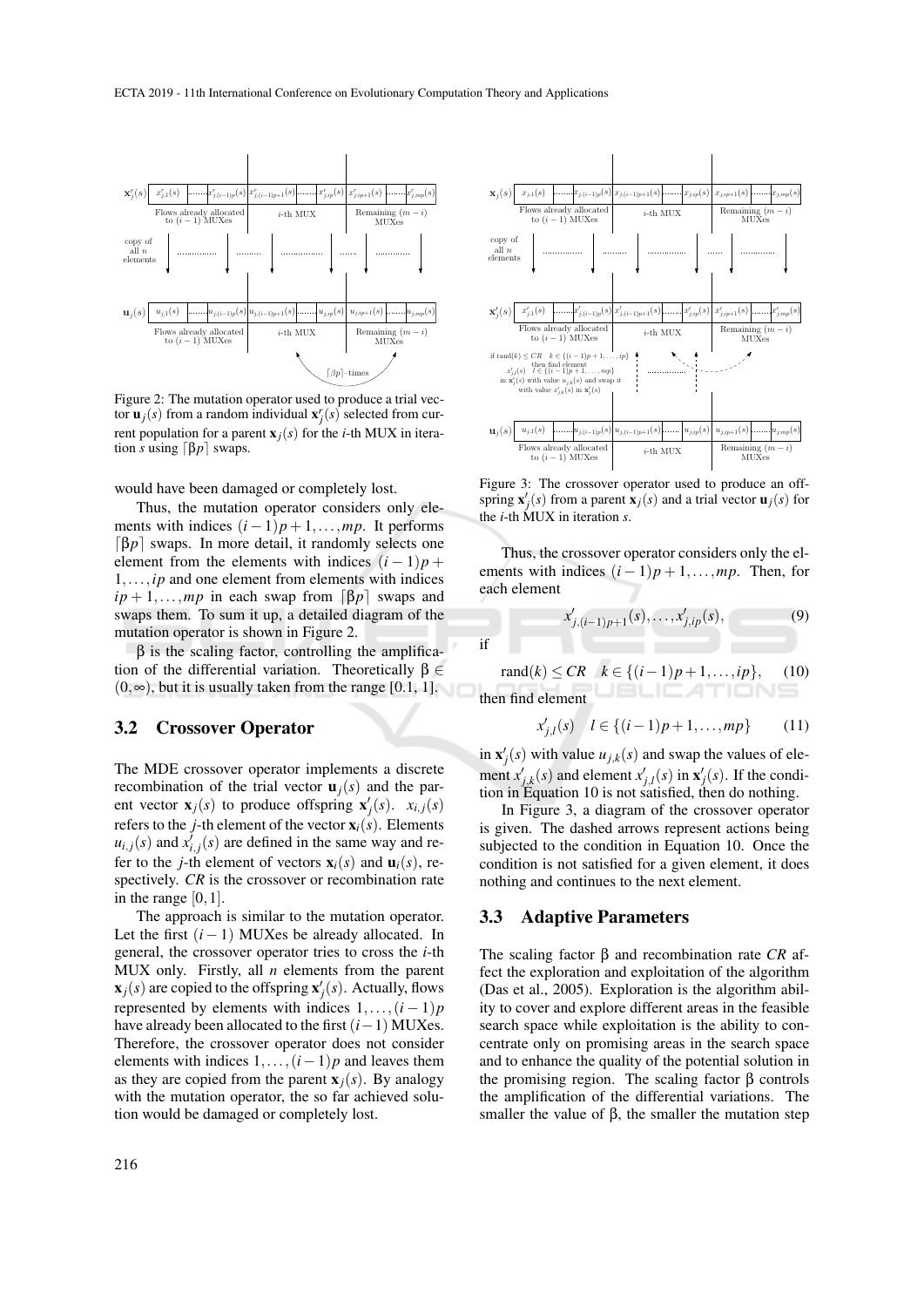

Figure 2: The mutation operator used to produce a trial vector  $\mathbf{u}_j(s)$  from a random individual  $\mathbf{x}_j^r(s)$  selected from current population for a parent  $\mathbf{x}_i(s)$  for the *i*-th MUX in iteration *s* using  $\lceil \beta p \rceil$  swaps.

would have been damaged or completely lost.

Thus, the mutation operator considers only elements with indices  $(i-1)p+1,\ldots,mp$ . It performs  $\lceil \beta p \rceil$  swaps. In more detail, it randomly selects one element from the elements with indices  $(i - 1)p$  + 1,...,*ip* and one element from elements with indices  $ip + 1, \ldots, mp$  in each swap from  $\lceil \beta p \rceil$  swaps and swaps them. To sum it up, a detailed diagram of the mutation operator is shown in Figure 2.

 $β$  is the scaling factor, controlling the amplification of the differential variation. Theoretically  $β ∈$  $(0, \infty)$ , but it is usually taken from the range [0.1, 1].

### 3.2 Crossover Operator

The MDE crossover operator implements a discrete recombination of the trial vector  $\mathbf{u}_i(s)$  and the parent vector  $\mathbf{x}_j(s)$  to produce offspring  $\mathbf{x}'_j(s)$ .  $x_{i,j}(s)$ refers to the *j*-th element of the vector  $\mathbf{x}_i(s)$ . Elements  $u_{i,j}(s)$  and  $x'_{i,j}(s)$  are defined in the same way and refer to the *j*-th element of vectors  $\mathbf{x}_i(s)$  and  $\mathbf{u}_i(s)$ , respectively. *CR* is the crossover or recombination rate in the range  $[0,1]$ .

The approach is similar to the mutation operator. Let the first  $(i - 1)$  MUXes be already allocated. In general, the crossover operator tries to cross the *i*-th MUX only. Firstly, all *n* elements from the parent  $\mathbf{x}_j(s)$  are copied to the offspring  $\mathbf{x}'_j(s)$ . Actually, flows represented by elements with indices  $1, \ldots, (i-1)p$ have already been allocated to the first (*i*−1) MUXes. Therefore, the crossover operator does not consider elements with indices 1,...,(*i*−1)*p* and leaves them as they are copied from the parent  $\mathbf{x}_i(s)$ . By analogy with the mutation operator, the so far achieved solution would be damaged or completely lost.



Figure 3: The crossover operator used to produce an offspring  $\mathbf{x}'_j(s)$  from a parent  $\mathbf{x}_j(s)$  and a trial vector  $\mathbf{u}_j(s)$  for the *i*-th MUX in iteration *s*.

Thus, the crossover operator considers only the elements with indices  $(i-1)p+1,\ldots,mp$ . Then, for each element

$$
x'_{j,(i-1)p+1}(s),\ldots,x'_{j,ip}(s),\tag{9}
$$

 $\text{rand}(k)$  ≤ *CR*  $k \in \{(i-1)p+1,\ldots,ip\}$ , (10) then find element

$$
x'_{j,l}(s) \quad l \in \{(i-1)p+1,\dots,mp\} \tag{11}
$$

in  $\mathbf{x}'_j(s)$  with value  $u_{j,k}(s)$  and swap the values of element  $x'_{j,k}(s)$  and element  $x'_{j,l}(s)$  in  $\mathbf{x}'_j(s)$ . If the condition in Equation 10 is not satisfied, then do nothing.

In Figure 3, a diagram of the crossover operator is given. The dashed arrows represent actions being subjected to the condition in Equation 10. Once the condition is not satisfied for a given element, it does nothing and continues to the next element.

### 3.3 Adaptive Parameters

if

The scaling factor β and recombination rate *CR* affect the exploration and exploitation of the algorithm (Das et al., 2005). Exploration is the algorithm ability to cover and explore different areas in the feasible search space while exploitation is the ability to concentrate only on promising areas in the search space and to enhance the quality of the potential solution in the promising region. The scaling factor β controls the amplification of the differential variations. The smaller the value of β, the smaller the mutation step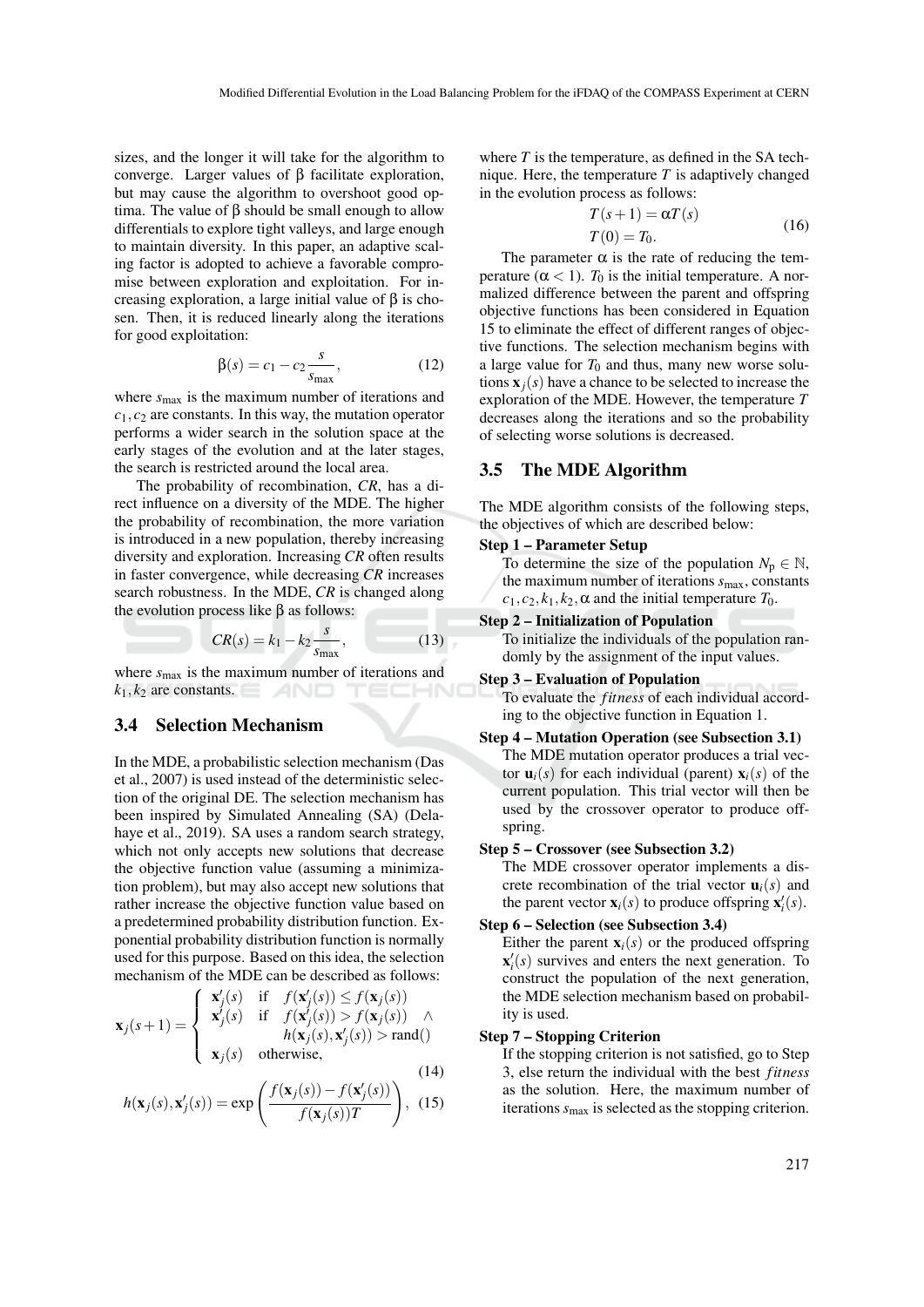sizes, and the longer it will take for the algorithm to converge. Larger values of β facilitate exploration, but may cause the algorithm to overshoot good optima. The value of  $β$  should be small enough to allow differentials to explore tight valleys, and large enough to maintain diversity. In this paper, an adaptive scaling factor is adopted to achieve a favorable compromise between exploration and exploitation. For increasing exploration, a large initial value of β is chosen. Then, it is reduced linearly along the iterations for good exploitation:

$$
\beta(s) = c_1 - c_2 \frac{s}{s_{\text{max}}},\tag{12}
$$

where *s*max is the maximum number of iterations and *c*1, *c*<sup>2</sup> are constants. In this way, the mutation operator performs a wider search in the solution space at the early stages of the evolution and at the later stages, the search is restricted around the local area.

The probability of recombination, *CR*, has a direct influence on a diversity of the MDE. The higher the probability of recombination, the more variation is introduced in a new population, thereby increasing diversity and exploration. Increasing *CR* often results in faster convergence, while decreasing *CR* increases search robustness. In the MDE, *CR* is changed along the evolution process like  $β$  as follows:

$$
CR(s) = k_1 - k_2 \frac{s}{s_{\text{max}}},\tag{13}
$$

where  $s_{\text{max}}$  is the maximum number of iterations and  $k_1, k_2$  are constants.

### 3.4 Selection Mechanism

In the MDE, a probabilistic selection mechanism (Das et al., 2007) is used instead of the deterministic selection of the original DE. The selection mechanism has been inspired by Simulated Annealing (SA) (Delahaye et al., 2019). SA uses a random search strategy, which not only accepts new solutions that decrease the objective function value (assuming a minimization problem), but may also accept new solutions that rather increase the objective function value based on a predetermined probability distribution function. Exponential probability distribution function is normally used for this purpose. Based on this idea, the selection mechanism of the MDE can be described as follows:

$$
\mathbf{x}_{j}(s+1) = \begin{cases}\n\mathbf{x}'_{j}(s) & \text{if } f(\mathbf{x}'_{j}(s)) \le f(\mathbf{x}_{j}(s)) \\
\mathbf{x}'_{j}(s) & \text{if } f(\mathbf{x}'_{j}(s)) > f(\mathbf{x}_{j}(s)) \land \\
h(\mathbf{x}_{j}(s), \mathbf{x}'_{j}(s)) > \text{rand} \\
\mathbf{x}_{j}(s) & \text{otherwise,} \n\end{cases}
$$
\n(14)

$$
h(\mathbf{x}_j(s), \mathbf{x}'_j(s)) = \exp\left(\frac{f(\mathbf{x}_j(s)) - f(\mathbf{x}'_j(s))}{f(\mathbf{x}_j(s))T}\right), \tag{15}
$$

where  $T$  is the temperature, as defined in the SA technique. Here, the temperature *T* is adaptively changed in the evolution process as follows:

$$
T(s+1) = \alpha T(s)
$$
  
\n
$$
T(0) = T_0.
$$
\n(16)

The parameter  $\alpha$  is the rate of reducing the temperature  $(\alpha < 1)$ .  $T_0$  is the initial temperature. A normalized difference between the parent and offspring objective functions has been considered in Equation 15 to eliminate the effect of different ranges of objective functions. The selection mechanism begins with a large value for  $T_0$  and thus, many new worse solutions  $\mathbf{x}_i(s)$  have a chance to be selected to increase the exploration of the MDE. However, the temperature *T* decreases along the iterations and so the probability of selecting worse solutions is decreased.

### 3.5 The MDE Algorithm

The MDE algorithm consists of the following steps, the objectives of which are described below:

#### Step 1 – Parameter Setup

To determine the size of the population  $N_p \in \mathbb{N}$ , the maximum number of iterations  $s_{\text{max}}$ , constants  $c_1, c_2, k_1, k_2, \alpha$  and the initial temperature  $T_0$ .

### Step 2 – Initialization of Population

To initialize the individuals of the population randomly by the assignment of the input values.

#### Step 3 – Evaluation of Population

To evaluate the *fitness* of each individual according to the objective function in Equation 1.

### Step 4 – Mutation Operation (see Subsection 3.1) The MDE mutation operator produces a trial vector  $\mathbf{u}_i(s)$  for each individual (parent)  $\mathbf{x}_i(s)$  of the

current population. This trial vector will then be used by the crossover operator to produce offspring.

#### Step 5 – Crossover (see Subsection 3.2)

The MDE crossover operator implements a discrete recombination of the trial vector  $\mathbf{u}_i(s)$  and the parent vector  $\mathbf{x}_i(s)$  to produce offspring  $\mathbf{x}'_i(s)$ .

#### Step 6 – Selection (see Subsection 3.4)

Either the parent  $\mathbf{x}_i(s)$  or the produced offspring  $\mathbf{x}'_i(s)$  survives and enters the next generation. To construct the population of the next generation, the MDE selection mechanism based on probability is used.

#### Step 7 – Stopping Criterion

If the stopping criterion is not satisfied, go to Step 3, else return the individual with the best *fitness* as the solution. Here, the maximum number of iterations  $s_{\text{max}}$  is selected as the stopping criterion.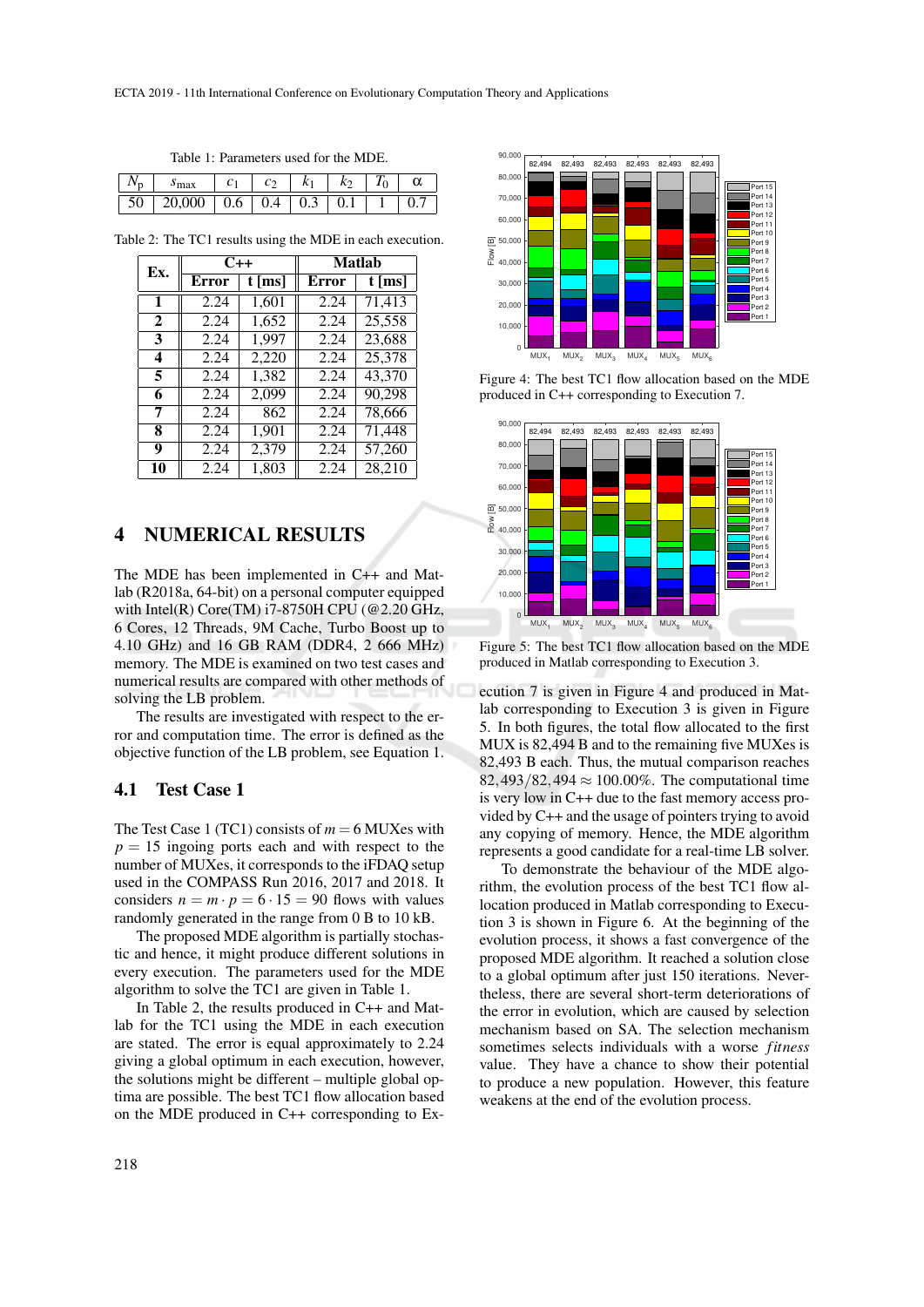Table 1: Parameters used for the MDE.

| max    |     | U   |  |  |
|--------|-----|-----|--|--|
| 20,000 | 0.6 | 0.4 |  |  |

Table 2: The TC1 results using the MDE in each execution.

| Ex.          |              | $C++$    | <b>Matlah</b> |                     |  |
|--------------|--------------|----------|---------------|---------------------|--|
|              | <b>Error</b> | $t$ [ms] | <b>Error</b>  | $t \overline{[ms]}$ |  |
| $\mathbf{1}$ | 2.24         | 1,601    | 2.24          | 71,413              |  |
| 2            | 2.24         | 1,652    | 2.24          | 25,558              |  |
| 3            | 2.24         | 1,997    | 2.24          | 23,688              |  |
| 4            | 2.24         | 2,220    | 2.24          | 25,378              |  |
| 5            | 2.24         | 1,382    | 2.24          | 43,370              |  |
| 6            | 2.24         | 2,099    | 2.24          | 90,298              |  |
| 7            | 2.24         | 862      | 2.24          | 78,666              |  |
| 8            | 2.24         | 1,901    | 2.24          | 71,448              |  |
| 9            | 2.24         | 2,379    | 2.24          | 57,260              |  |
| 10           | 2.24         | 1,803    | 2.24          | $\overline{28,210}$ |  |

# 4 NUMERICAL RESULTS

The MDE has been implemented in C++ and Matlab (R2018a, 64-bit) on a personal computer equipped with Intel(R) Core(TM) i7-8750H CPU (@2.20 GHz, 6 Cores, 12 Threads, 9M Cache, Turbo Boost up to 4.10 GHz) and 16 GB RAM (DDR4, 2 666 MHz) memory. The MDE is examined on two test cases and numerical results are compared with other methods of solving the LB problem.

The results are investigated with respect to the error and computation time. The error is defined as the objective function of the LB problem, see Equation 1.

### 4.1 Test Case 1

The Test Case 1 (TC1) consists of  $m = 6$  MUXes with  $p = 15$  ingoing ports each and with respect to the number of MUXes, it corresponds to the iFDAQ setup used in the COMPASS Run 2016, 2017 and 2018. It considers  $n = m \cdot p = 6 \cdot 15 = 90$  flows with values randomly generated in the range from 0 B to 10 kB.

The proposed MDE algorithm is partially stochastic and hence, it might produce different solutions in every execution. The parameters used for the MDE algorithm to solve the TC1 are given in Table 1.

In Table 2, the results produced in C++ and Matlab for the TC1 using the MDE in each execution are stated. The error is equal approximately to 2.24 giving a global optimum in each execution, however, the solutions might be different – multiple global optima are possible. The best TC1 flow allocation based on the MDE produced in C++ corresponding to Ex-



Figure 4: The best TC1 flow allocation based on the MDE produced in C++ corresponding to Execution 7.



Figure 5: The best TC1 flow allocation based on the MDE produced in Matlab corresponding to Execution 3.

ecution 7 is given in Figure 4 and produced in Matlab corresponding to Execution 3 is given in Figure 5. In both figures, the total flow allocated to the first MUX is 82,494 B and to the remaining five MUXes is 82,493 B each. Thus, the mutual comparison reaches 82,493/82,494  $\approx 100.00\%$ . The computational time is very low in C++ due to the fast memory access provided by C++ and the usage of pointers trying to avoid any copying of memory. Hence, the MDE algorithm represents a good candidate for a real-time LB solver.

To demonstrate the behaviour of the MDE algorithm, the evolution process of the best TC1 flow allocation produced in Matlab corresponding to Execution 3 is shown in Figure 6. At the beginning of the evolution process, it shows a fast convergence of the proposed MDE algorithm. It reached a solution close to a global optimum after just 150 iterations. Nevertheless, there are several short-term deteriorations of the error in evolution, which are caused by selection mechanism based on SA. The selection mechanism sometimes selects individuals with a worse *fitness* value. They have a chance to show their potential to produce a new population. However, this feature weakens at the end of the evolution process.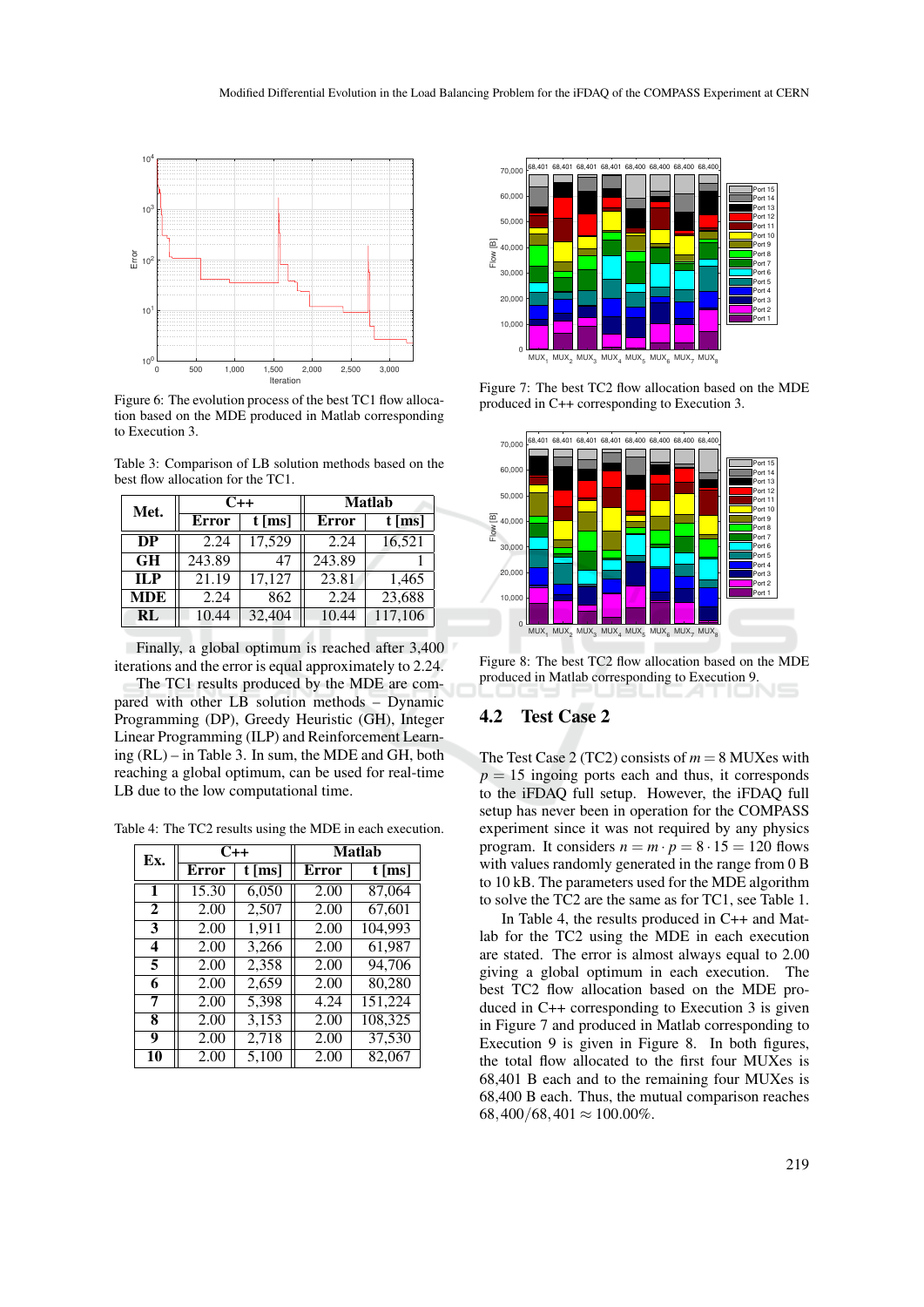

Figure 6: The evolution process of the best TC1 flow allocation based on the MDE produced in Matlab corresponding to Execution 3.

Table 3: Comparison of LB solution methods based on the best flow allocation for the TC1.

| Met.       |              | $C++$    | <b>Matlab</b> |          |  |
|------------|--------------|----------|---------------|----------|--|
|            | <b>Error</b> | $t$ [ms] | Error         | $t$ [ms] |  |
| DP         | 2.24         | 17,529   | 2.24          | 16,521   |  |
| <b>GH</b>  | 243.89       | 47       | 243.89        |          |  |
| ILP        | 21.19        | 17,127   | 23.81         | 1,465    |  |
| <b>MDE</b> | 2.24         | 862      | 2.24          | 23,688   |  |
| RL         | 10.44        | 32,404   | 10.44         | 117,106  |  |

Finally, a global optimum is reached after 3,400 iterations and the error is equal approximately to 2.24.

The TC1 results produced by the MDE are compared with other LB solution methods – Dynamic Programming (DP), Greedy Heuristic (GH), Integer Linear Programming (ILP) and Reinforcement Learning (RL) – in Table 3. In sum, the MDE and GH, both reaching a global optimum, can be used for real-time LB due to the low computational time.

Table 4: The TC2 results using the MDE in each execution.

| Ex.          | $C++$        |          | <b>Matlab</b> |          |  |
|--------------|--------------|----------|---------------|----------|--|
|              | <b>Error</b> | $t$ [ms] | Error         | $t$ [ms] |  |
| $\mathbf{1}$ | 15.30        | 6,050    | 2.00          | 87,064   |  |
| $\mathbf{2}$ | 2.00         | 2,507    | 2.00          | 67,601   |  |
| 3            | 2.00         | 1,911    | 2.00          | 104,993  |  |
| 4            | 2.00         | 3.266    | 2.00          | 61,987   |  |
| 5            | 2.00         | 2,358    | 2.00          | 94,706   |  |
| 6            | 2.00         | 2,659    | 2.00          | 80,280   |  |
| 7            | 2.00         | 5,398    | 4.24          | 151,224  |  |
| 8            | 2.00         | 3,153    | 2.00          | 108,325  |  |
| 9            | 2.00         | 2,718    | 2.00          | 37,530   |  |
| 10           | 2.00         | 5.100    | 2.00          | 82,067   |  |



Figure 7: The best TC2 flow allocation based on the MDE produced in C++ corresponding to Execution 3.



Figure 8: The best TC2 flow allocation based on the MDE produced in Matlab corresponding to Execution 9.

### 4.2 Test Case 2

The Test Case 2 (TC2) consists of  $m = 8$  MUXes with  $p = 15$  ingoing ports each and thus, it corresponds to the iFDAQ full setup. However, the iFDAQ full setup has never been in operation for the COMPASS experiment since it was not required by any physics program. It considers  $n = m \cdot p = 8 \cdot 15 = 120$  flows with values randomly generated in the range from 0 B to 10 kB. The parameters used for the MDE algorithm to solve the TC2 are the same as for TC1, see Table 1.

In Table 4, the results produced in C++ and Matlab for the TC2 using the MDE in each execution are stated. The error is almost always equal to 2.00 giving a global optimum in each execution. The best TC2 flow allocation based on the MDE produced in C++ corresponding to Execution 3 is given in Figure 7 and produced in Matlab corresponding to Execution 9 is given in Figure 8. In both figures, the total flow allocated to the first four MUXes is 68,401 B each and to the remaining four MUXes is 68,400 B each. Thus, the mutual comparison reaches  $68,400/68,401 \approx 100.00\%$ .